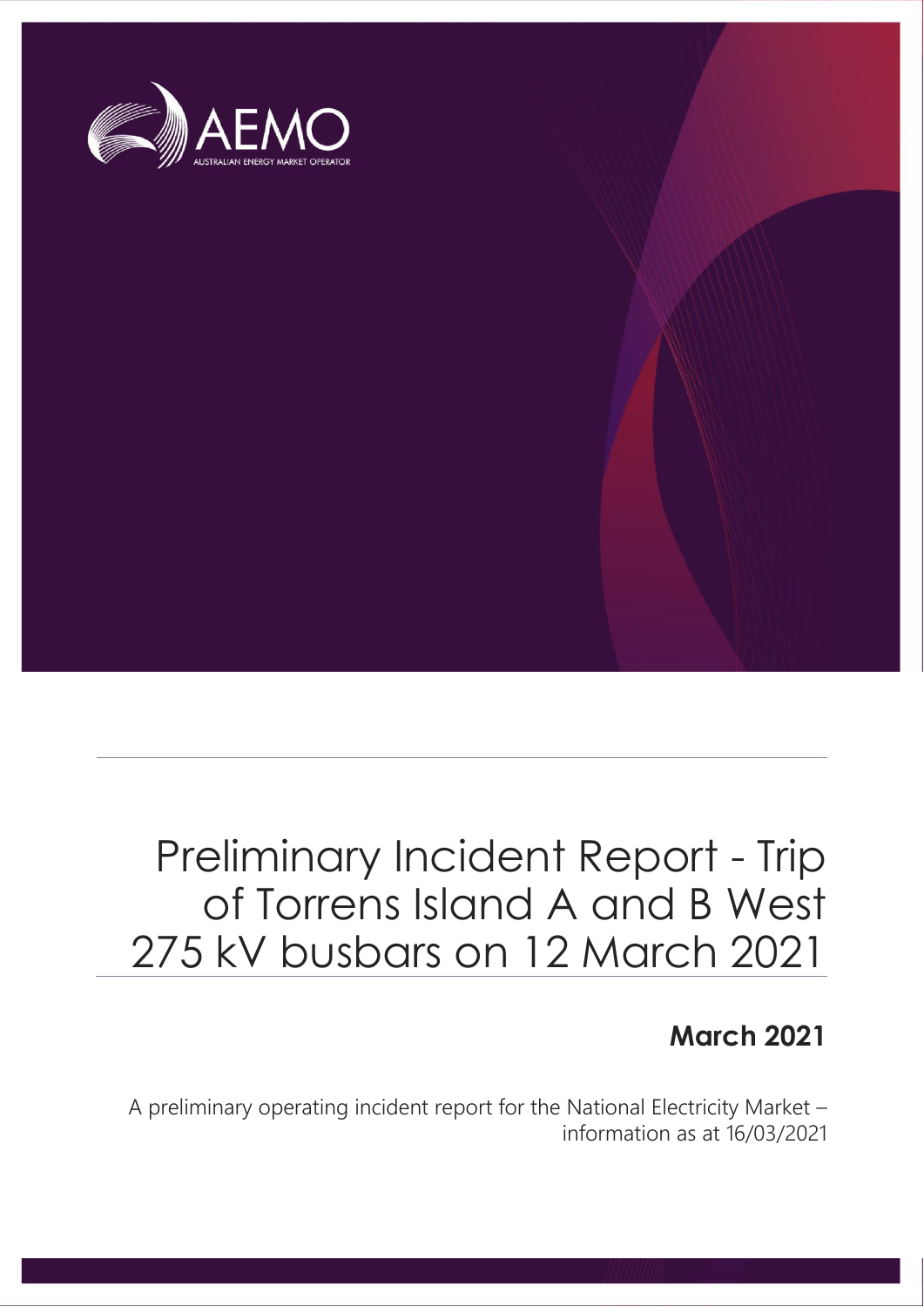

### Preliminary Incident Report - Trip of Torrens Island A and B West 275 kV busbars on 12 March 2021

### **March 2021**

A preliminary operating incident report for the National Electricity Market – information as at 16/03/2021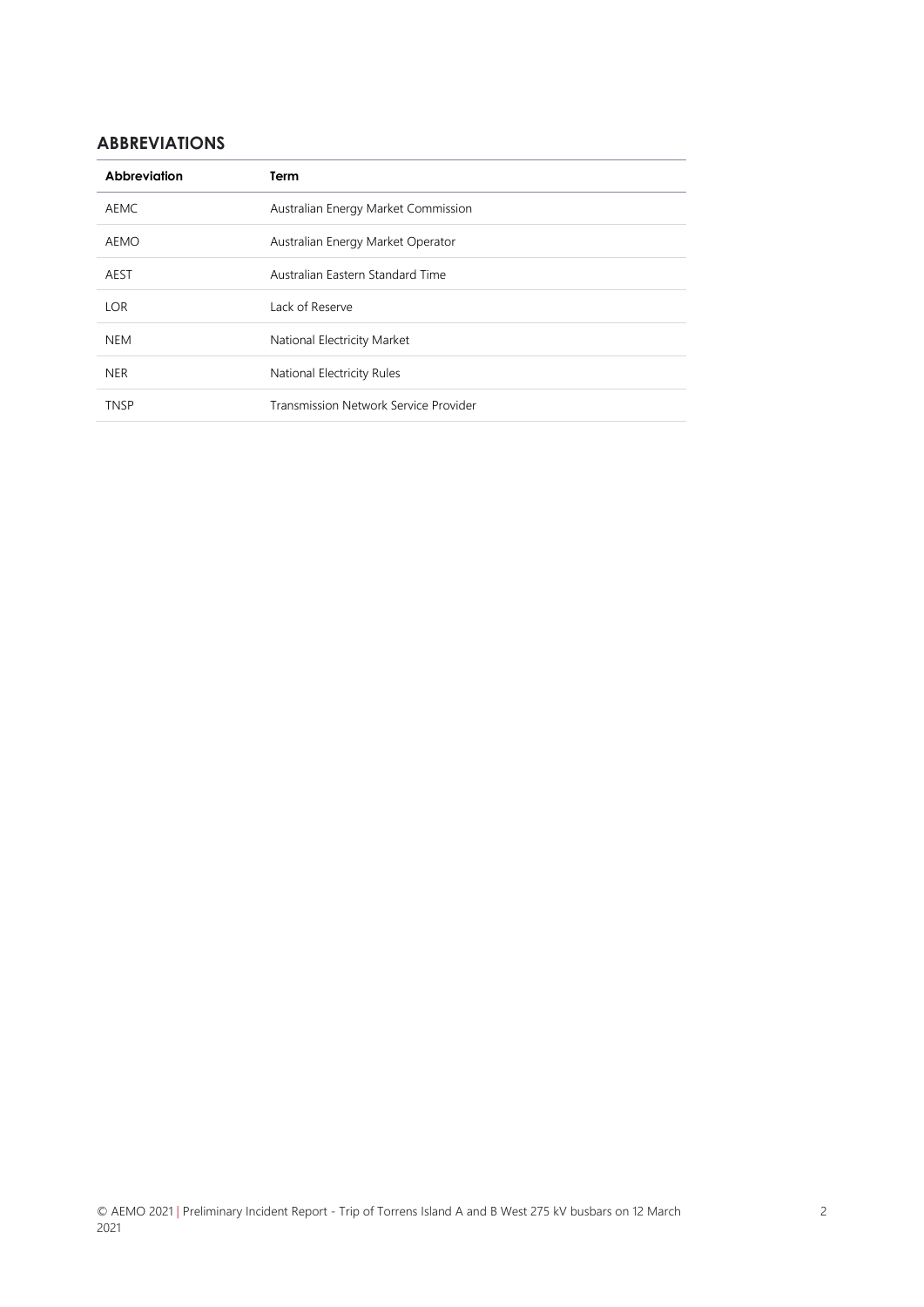### **ABBREVIATIONS**

| Abbreviation | Term                                  |  |
|--------------|---------------------------------------|--|
| <b>AEMC</b>  | Australian Energy Market Commission   |  |
| AEMO         | Australian Energy Market Operator     |  |
| AEST         | Australian Eastern Standard Time      |  |
| <b>LOR</b>   | Lack of Reserve                       |  |
| <b>NEM</b>   | National Electricity Market           |  |
| <b>NER</b>   | National Electricity Rules            |  |
| <b>TNSP</b>  | Transmission Network Service Provider |  |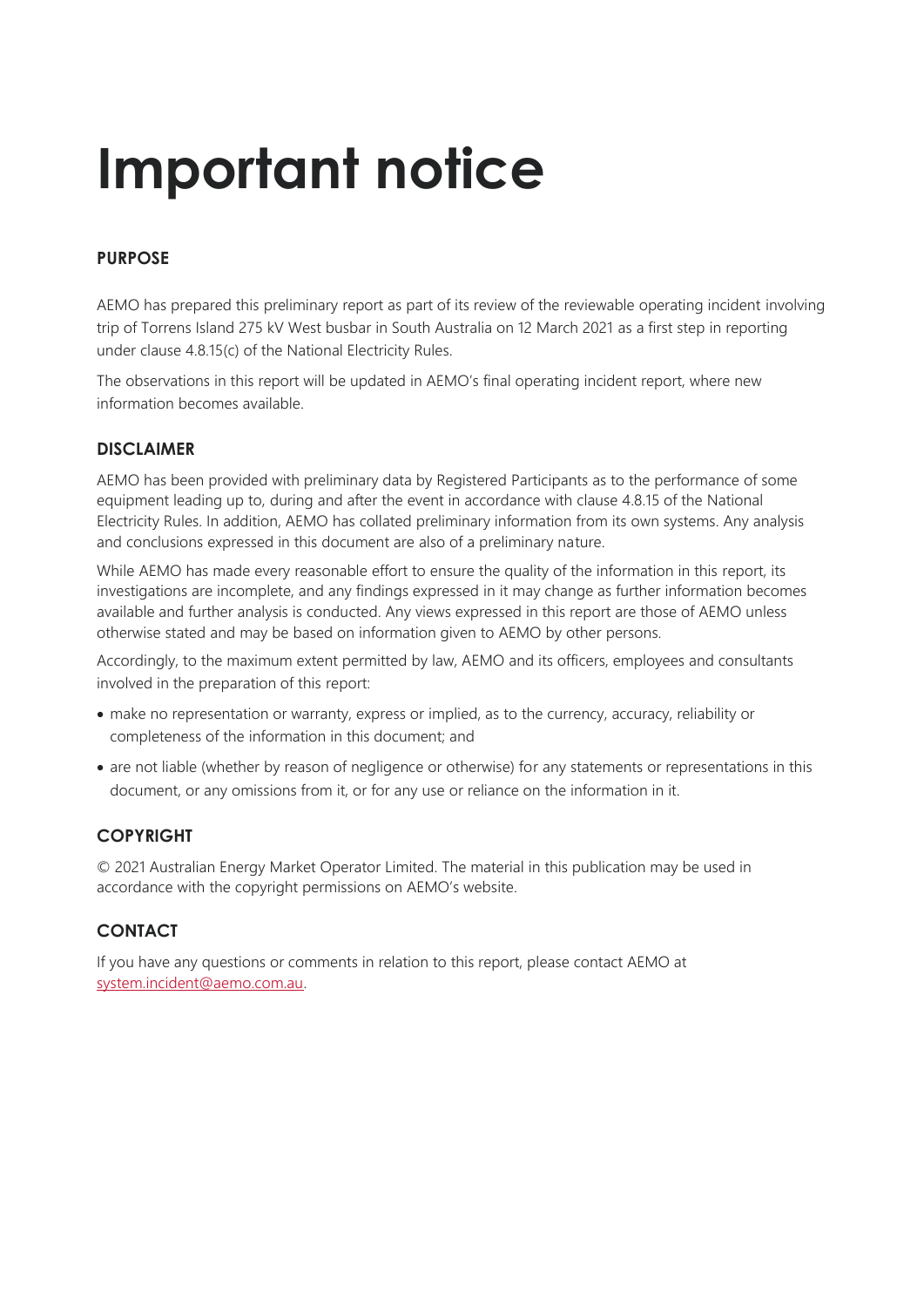# **Important notice**

### **PURPOSE**

AEMO has prepared this preliminary report as part of its review of the reviewable operating incident involving trip of Torrens Island 275 kV West busbar in South Australia on 12 March 2021 as a first step in reporting under clause 4.8.15(c) of the National Electricity Rules.

The observations in this report will be updated in AEMO's final operating incident report, where new information becomes available.

#### **DISCLAIMER**

AEMO has been provided with preliminary data by Registered Participants as to the performance of some equipment leading up to, during and after the event in accordance with clause 4.8.15 of the National Electricity Rules. In addition, AEMO has collated preliminary information from its own systems. Any analysis and conclusions expressed in this document are also of a preliminary nature.

While AEMO has made every reasonable effort to ensure the quality of the information in this report, its investigations are incomplete, and any findings expressed in it may change as further information becomes available and further analysis is conducted. Any views expressed in this report are those of AEMO unless otherwise stated and may be based on information given to AEMO by other persons.

Accordingly, to the maximum extent permitted by law, AEMO and its officers, employees and consultants involved in the preparation of this report:

- make no representation or warranty, express or implied, as to the currency, accuracy, reliability or completeness of the information in this document; and
- are not liable (whether by reason of negligence or otherwise) for any statements or representations in this document, or any omissions from it, or for any use or reliance on the information in it.

### **COPYRIGHT**

© 2021 Australian Energy Market Operator Limited. The material in this publication may be used in accordance with the copyright permissions on AEMO's website.

### **CONTACT**

If you have any questions or comments in relation to this report, please contact AEMO at [system.incident@aemo.com.au.](mailto:system.incident@aemo.com.au)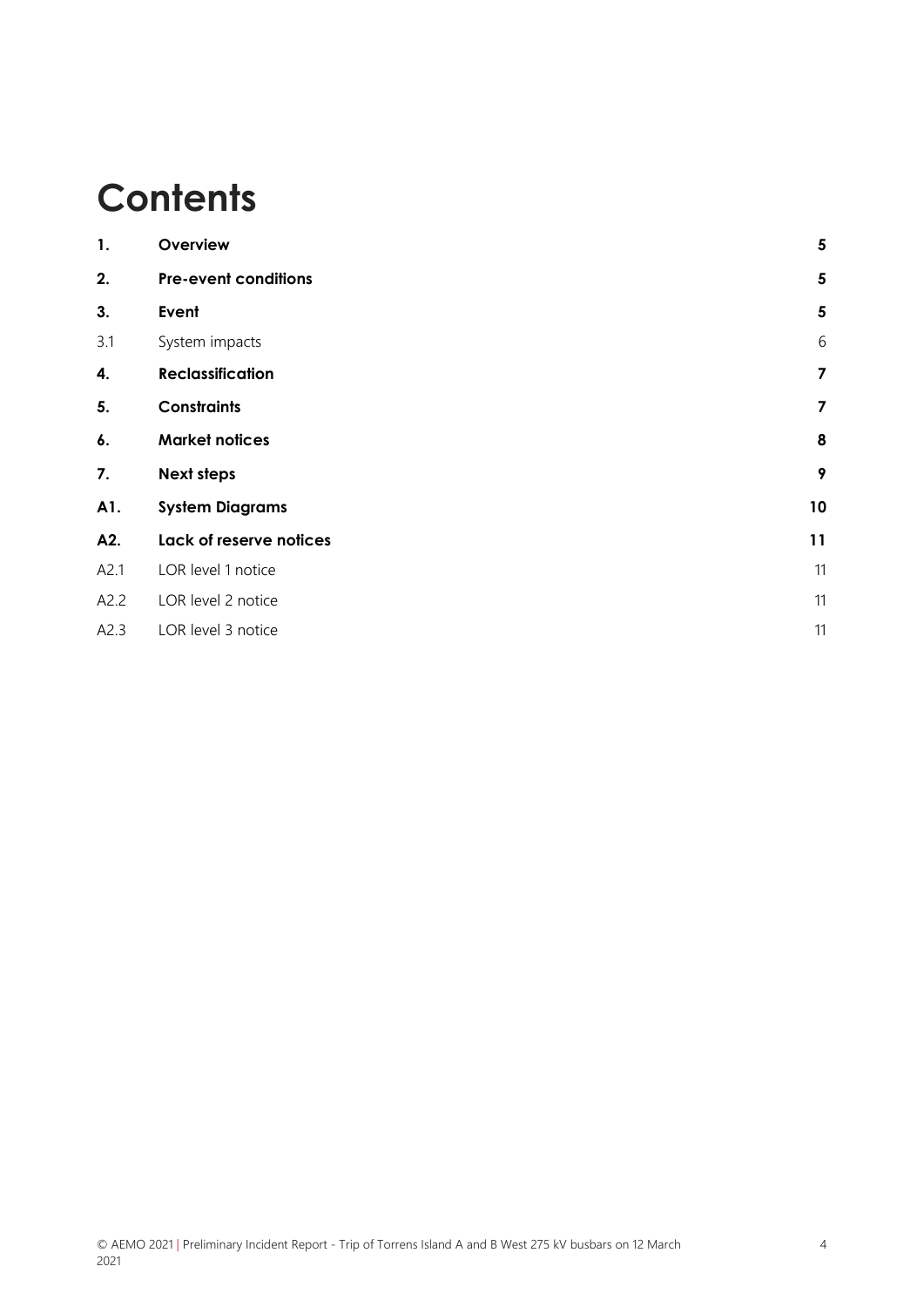### **Contents**

| 1.   | Overview                    | $\sqrt{5}$              |
|------|-----------------------------|-------------------------|
| 2.   | <b>Pre-event conditions</b> | $\overline{\mathbf{5}}$ |
| 3.   | Event                       | 5                       |
| 3.1  | System impacts              | 6                       |
| 4.   | <b>Reclassification</b>     | $\overline{\mathbf{z}}$ |
| 5.   | <b>Constraints</b>          | $\overline{\mathbf{z}}$ |
| 6.   | <b>Market notices</b>       | $\pmb{8}$               |
| 7.   | <b>Next steps</b>           | 9                       |
| A1.  | <b>System Diagrams</b>      | 10                      |
| A2.  | Lack of reserve notices     | 11                      |
| A2.1 | LOR level 1 notice          | 11                      |
| A2.2 | LOR level 2 notice          | 11                      |
| A2.3 | LOR level 3 notice          | 11                      |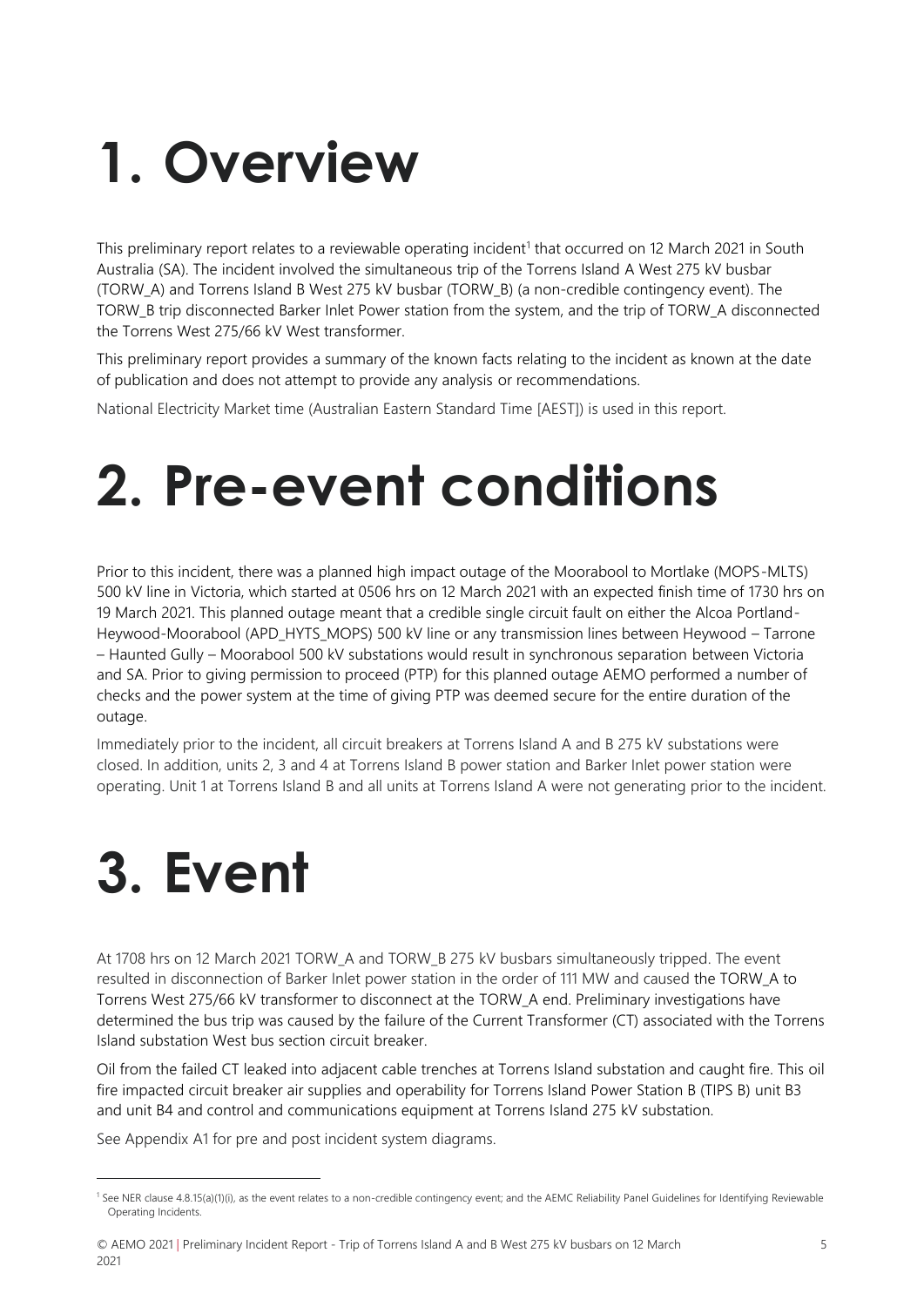## <span id="page-4-0"></span>**1. Overview**

This preliminary report relates to a reviewable operating incident<sup>1</sup> that occurred on 12 March 2021 in South Australia (SA). The incident involved the simultaneous trip of the Torrens Island A West 275 kV busbar (TORW\_A) and Torrens Island B West 275 kV busbar (TORW\_B) (a non-credible contingency event). The TORW\_B trip disconnected Barker Inlet Power station from the system, and the trip of TORW\_A disconnected the Torrens West 275/66 kV West transformer.

This preliminary report provides a summary of the known facts relating to the incident as known at the date of publication and does not attempt to provide any analysis or recommendations.

<span id="page-4-1"></span>National Electricity Market time (Australian Eastern Standard Time [AEST]) is used in this report.

### **2. Pre-event conditions**

Prior to this incident, there was a planned high impact outage of the Moorabool to Mortlake (MOPS-MLTS) 500 kV line in Victoria, which started at 0506 hrs on 12 March 2021 with an expected finish time of 1730 hrs on 19 March 2021. This planned outage meant that a credible single circuit fault on either the Alcoa Portland-Heywood-Moorabool (APD\_HYTS\_MOPS) 500 kV line or any transmission lines between Heywood – Tarrone – Haunted Gully – Moorabool 500 kV substations would result in synchronous separation between Victoria and SA. Prior to giving permission to proceed (PTP) for this planned outage AEMO performed a number of checks and the power system at the time of giving PTP was deemed secure for the entire duration of the outage.

Immediately prior to the incident, all circuit breakers at Torrens Island A and B 275 kV substations were closed. In addition, units 2, 3 and 4 at Torrens Island B power station and Barker Inlet power station were operating. Unit 1 at Torrens Island B and all units at Torrens Island A were not generating prior to the incident.

## <span id="page-4-2"></span>**3. Event**

At 1708 hrs on 12 March 2021 TORW\_A and TORW\_B 275 kV busbars simultaneously tripped. The event resulted in disconnection of Barker Inlet power station in the order of 111 MW and caused the TORW\_A to Torrens West 275/66 kV transformer to disconnect at the TORW\_A end. Preliminary investigations have determined the bus trip was caused by the failure of the Current Transformer (CT) associated with the Torrens Island substation West bus section circuit breaker.

Oil from the failed CT leaked into adjacent cable trenches at Torrens Island substation and caught fire. This oil fire impacted circuit breaker air supplies and operability for Torrens Island Power Station B (TIPS B) unit B3 and unit B4 and control and communications equipment at Torrens Island 275 kV substation.

See Appendix [A1](#page-9-0) for pre and post incident system diagrams.

© AEMO 2021 | Preliminary Incident Report - Trip of Torrens Island A and B West 275 kV busbars on 12 March 2021

<sup>1</sup> See NER clause 4.8.15(a)(1)(i), as the event relates to a non-credible contingency event; and the AEMC Reliability Panel Guidelines for Identifying Reviewable Operating Incidents.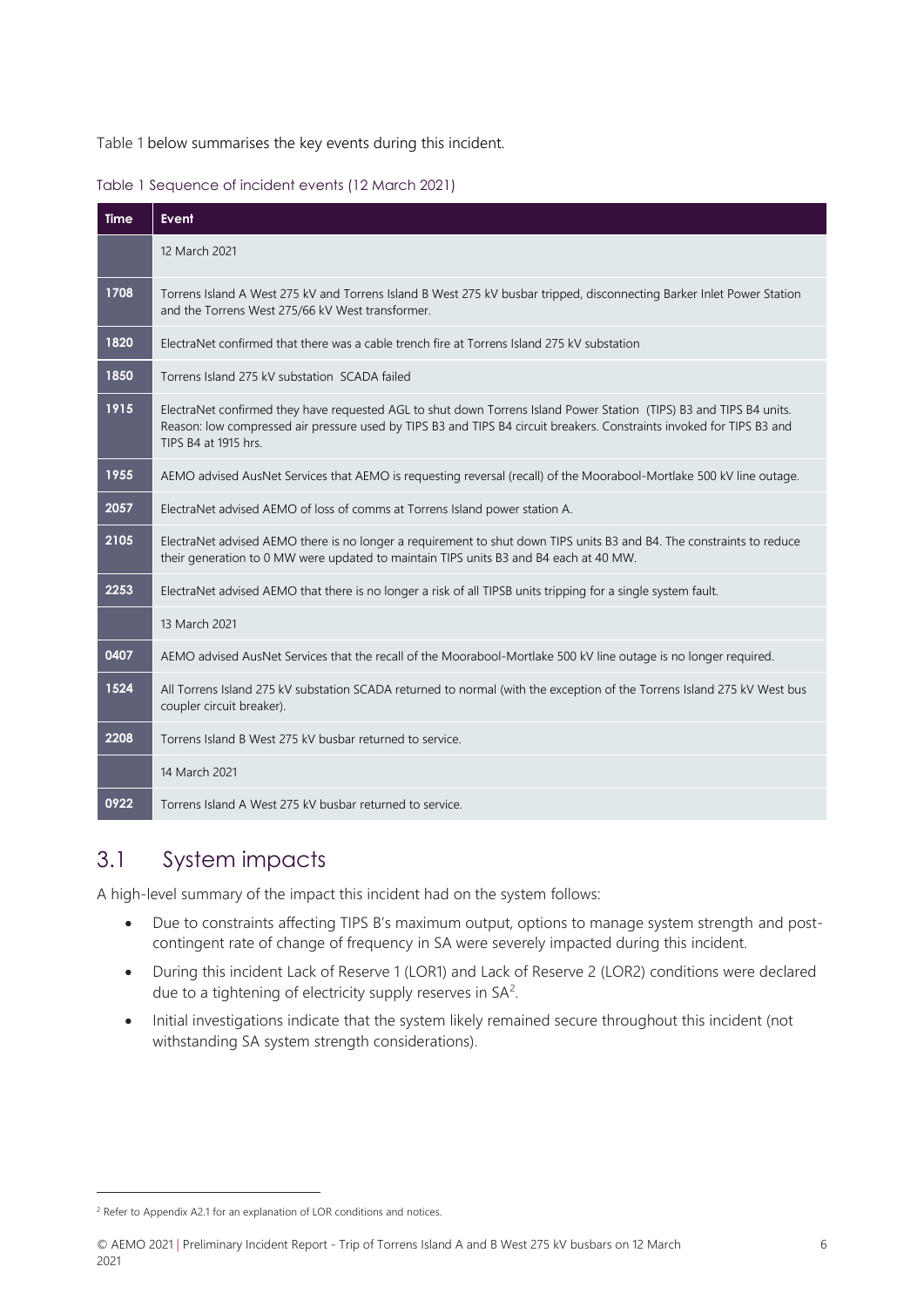[Table 1](#page-5-1) below summarises the key events during this incident.

<span id="page-5-1"></span>

|  |  | Table 1 Sequence of incident events (12 March 2021) |  |
|--|--|-----------------------------------------------------|--|

| <b>Time</b> | Event                                                                                                                                                                                                                                                                |
|-------------|----------------------------------------------------------------------------------------------------------------------------------------------------------------------------------------------------------------------------------------------------------------------|
|             | 12 March 2021                                                                                                                                                                                                                                                        |
| 1708        | Torrens Island A West 275 kV and Torrens Island B West 275 kV busbar tripped, disconnecting Barker Inlet Power Station<br>and the Torrens West 275/66 kV West transformer.                                                                                           |
| 1820        | ElectraNet confirmed that there was a cable trench fire at Torrens Island 275 kV substation                                                                                                                                                                          |
| 1850        | Torrens Island 275 kV substation SCADA failed                                                                                                                                                                                                                        |
| 1915        | ElectraNet confirmed they have requested AGL to shut down Torrens Island Power Station (TIPS) B3 and TIPS B4 units.<br>Reason: low compressed air pressure used by TIPS B3 and TIPS B4 circuit breakers. Constraints invoked for TIPS B3 and<br>TIPS B4 at 1915 hrs. |
| 1955        | AEMO advised AusNet Services that AEMO is requesting reversal (recall) of the Moorabool-Mortlake 500 kV line outage.                                                                                                                                                 |
| 2057        | ElectraNet advised AEMO of loss of comms at Torrens Island power station A.                                                                                                                                                                                          |
| 2105        | ElectraNet advised AEMO there is no longer a requirement to shut down TIPS units B3 and B4. The constraints to reduce<br>their generation to 0 MW were updated to maintain TIPS units B3 and B4 each at 40 MW.                                                       |
| 2253        | ElectraNet advised AEMO that there is no longer a risk of all TIPSB units tripping for a single system fault.                                                                                                                                                        |
|             | 13 March 2021                                                                                                                                                                                                                                                        |
| 0407        | AEMO advised AusNet Services that the recall of the Moorabool-Mortlake 500 kV line outage is no longer required.                                                                                                                                                     |
| 1524        | All Torrens Island 275 kV substation SCADA returned to normal (with the exception of the Torrens Island 275 kV West bus<br>coupler circuit breaker).                                                                                                                 |
| 2208        | Torrens Island B West 275 kV busbar returned to service.                                                                                                                                                                                                             |
|             | 14 March 2021                                                                                                                                                                                                                                                        |
| 0922        | Torrens Island A West 275 kV busbar returned to service.                                                                                                                                                                                                             |

### <span id="page-5-0"></span>3.1 System impacts

A high-level summary of the impact this incident had on the system follows:

- Due to constraints affecting TIPS B's maximum output, options to manage system strength and postcontingent rate of change of frequency in SA were severely impacted during this incident.
- During this incident Lack of Reserve 1 (LOR1) and Lack of Reserve 2 (LOR2) conditions were declared due to a tightening of electricity supply reserves in SA<sup>2</sup>.
- Initial investigations indicate that the system likely remained secure throughout this incident (not withstanding SA system strength considerations).

© AEMO 2021 | Preliminary Incident Report - Trip of Torrens Island A and B West 275 kV busbars on 12 March 2021

<sup>&</sup>lt;sup>2</sup> Refer to Appendix [A2.1](#page-10-1) for an explanation of LOR conditions and notices.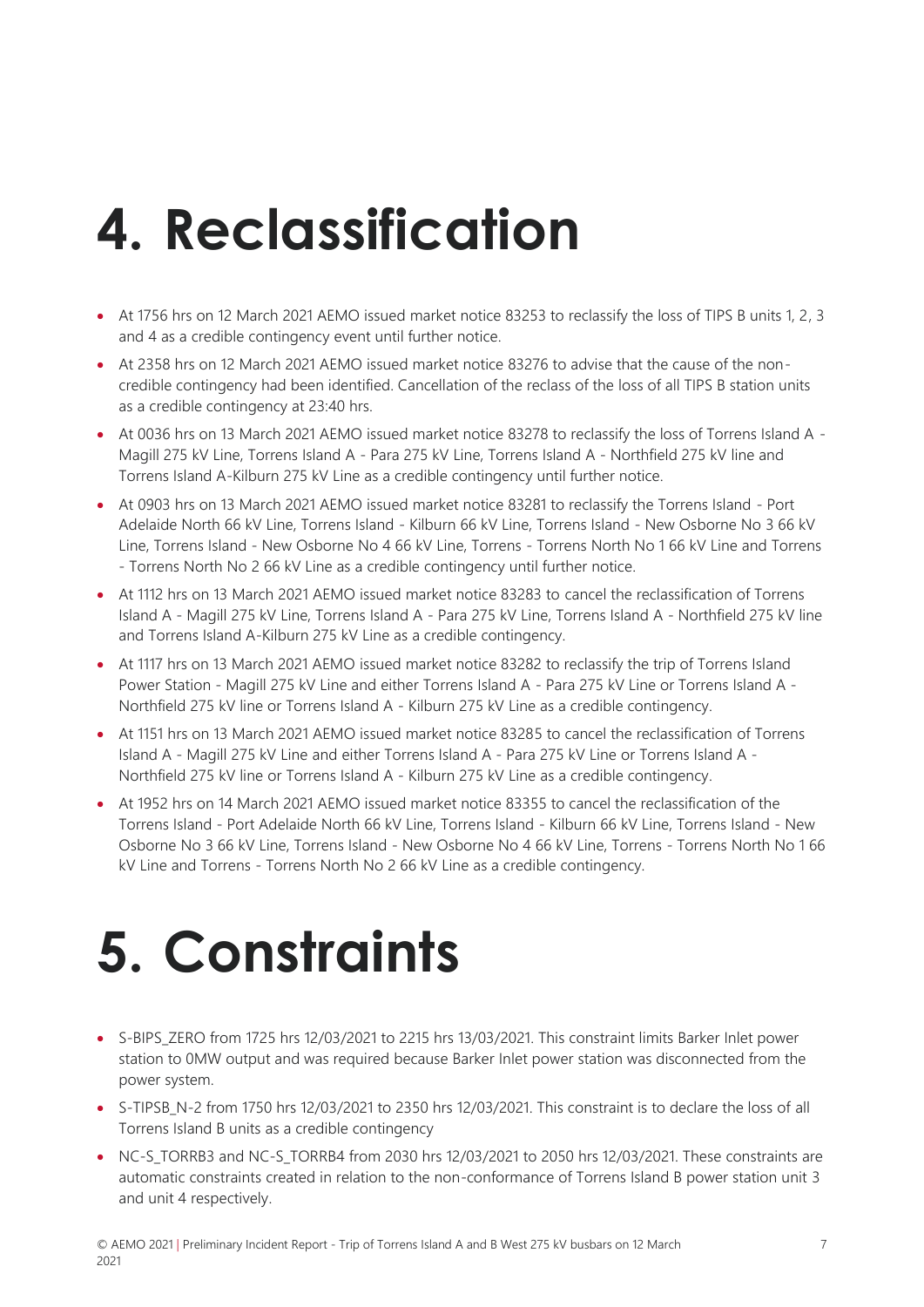# <span id="page-6-0"></span>**4. Reclassification**

- At 1756 hrs on 12 March 2021 AEMO issued market notice 83253 to reclassify the loss of TIPS B units 1, 2, 3 and 4 as a credible contingency event until further notice.
- At 2358 hrs on 12 March 2021 AEMO issued market notice 83276 to advise that the cause of the noncredible contingency had been identified. Cancellation of the reclass of the loss of all TIPS B station units as a credible contingency at 23:40 hrs.
- At 0036 hrs on 13 March 2021 AEMO issued market notice 83278 to reclassify the loss of Torrens Island A Magill 275 kV Line, Torrens Island A - Para 275 kV Line, Torrens Island A - Northfield 275 kV line and Torrens Island A-Kilburn 275 kV Line as a credible contingency until further notice.
- At 0903 hrs on 13 March 2021 AEMO issued market notice 83281 to reclassify the Torrens Island Port Adelaide North 66 kV Line, Torrens Island - Kilburn 66 kV Line, Torrens Island - New Osborne No 3 66 kV Line, Torrens Island - New Osborne No 4 66 kV Line, Torrens - Torrens North No 1 66 kV Line and Torrens - Torrens North No 2 66 kV Line as a credible contingency until further notice.
- At 1112 hrs on 13 March 2021 AEMO issued market notice 83283 to cancel the reclassification of Torrens Island A - Magill 275 kV Line, Torrens Island A - Para 275 kV Line, Torrens Island A - Northfield 275 kV line and Torrens Island A-Kilburn 275 kV Line as a credible contingency.
- At 1117 hrs on 13 March 2021 AEMO issued market notice 83282 to reclassify the trip of Torrens Island Power Station - Magill 275 kV Line and either Torrens Island A - Para 275 kV Line or Torrens Island A - Northfield 275 kV line or Torrens Island A - Kilburn 275 kV Line as a credible contingency.
- At 1151 hrs on 13 March 2021 AEMO issued market notice 83285 to cancel the reclassification of Torrens Island A - Magill 275 kV Line and either Torrens Island A - Para 275 kV Line or Torrens Island A - Northfield 275 kV line or Torrens Island A - Kilburn 275 kV Line as a credible contingency.
- At 1952 hrs on 14 March 2021 AEMO issued market notice 83355 to cancel the reclassification of the Torrens Island - Port Adelaide North 66 kV Line, Torrens Island - Kilburn 66 kV Line, Torrens Island - New Osborne No 3 66 kV Line, Torrens Island - New Osborne No 4 66 kV Line, Torrens - Torrens North No 1 66 kV Line and Torrens - Torrens North No 2 66 kV Line as a credible contingency.

# <span id="page-6-1"></span>**5. Constraints**

- S-BIPS ZERO from 1725 hrs 12/03/2021 to 2215 hrs 13/03/2021. This constraint limits Barker Inlet power station to 0MW output and was required because Barker Inlet power station was disconnected from the power system.
- S-TIPSB\_N-2 from 1750 hrs 12/03/2021 to 2350 hrs 12/03/2021. This constraint is to declare the loss of all Torrens Island B units as a credible contingency
- NC-S TORRB3 and NC-S TORRB4 from 2030 hrs 12/03/2021 to 2050 hrs 12/03/2021. These constraints are automatic constraints created in relation to the non-conformance of Torrens Island B power station unit 3 and unit 4 respectively.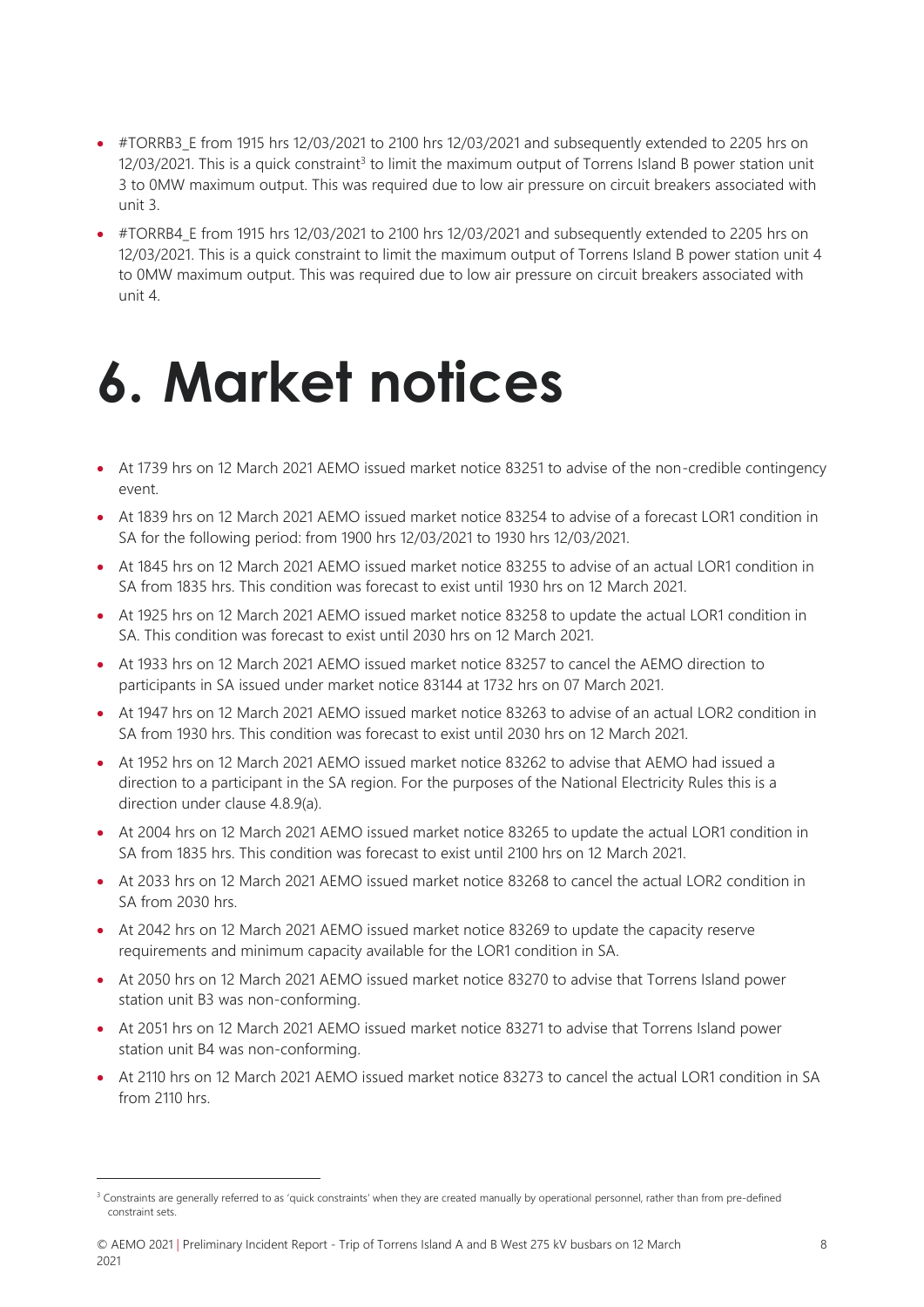- #TORRB3 E from 1915 hrs 12/03/2021 to 2100 hrs 12/03/2021 and subsequently extended to 2205 hrs on  $12/03/2021$ . This is a quick constraint<sup>3</sup> to limit the maximum output of Torrens Island B power station unit 3 to 0MW maximum output. This was required due to low air pressure on circuit breakers associated with unit 3.
- #TORRB4 E from 1915 hrs 12/03/2021 to 2100 hrs 12/03/2021 and subsequently extended to 2205 hrs on 12/03/2021. This is a quick constraint to limit the maximum output of Torrens Island B power station unit 4 to 0MW maximum output. This was required due to low air pressure on circuit breakers associated with unit 4.

### <span id="page-7-0"></span>**6. Market notices**

- At 1739 hrs on 12 March 2021 AEMO issued market notice 83251 to advise of the non-credible contingency event.
- At 1839 hrs on 12 March 2021 AEMO issued market notice 83254 to advise of a forecast LOR1 condition in SA for the following period: from 1900 hrs 12/03/2021 to 1930 hrs 12/03/2021.
- At 1845 hrs on 12 March 2021 AEMO issued market notice 83255 to advise of an actual LOR1 condition in SA from 1835 hrs. This condition was forecast to exist until 1930 hrs on 12 March 2021.
- At 1925 hrs on 12 March 2021 AEMO issued market notice 83258 to update the actual LOR1 condition in SA. This condition was forecast to exist until 2030 hrs on 12 March 2021.
- At 1933 hrs on 12 March 2021 AEMO issued market notice 83257 to cancel the AEMO direction to participants in SA issued under market notice 83144 at 1732 hrs on 07 March 2021.
- At 1947 hrs on 12 March 2021 AEMO issued market notice 83263 to advise of an actual LOR2 condition in SA from 1930 hrs. This condition was forecast to exist until 2030 hrs on 12 March 2021.
- At 1952 hrs on 12 March 2021 AEMO issued market notice 83262 to advise that AEMO had issued a direction to a participant in the SA region. For the purposes of the National Electricity Rules this is a direction under clause 4.8.9(a).
- At 2004 hrs on 12 March 2021 AEMO issued market notice 83265 to update the actual LOR1 condition in SA from 1835 hrs. This condition was forecast to exist until 2100 hrs on 12 March 2021.
- At 2033 hrs on 12 March 2021 AEMO issued market notice 83268 to cancel the actual LOR2 condition in SA from 2030 hrs.
- At 2042 hrs on 12 March 2021 AEMO issued market notice 83269 to update the capacity reserve requirements and minimum capacity available for the LOR1 condition in SA.
- At 2050 hrs on 12 March 2021 AEMO issued market notice 83270 to advise that Torrens Island power station unit B3 was non-conforming.
- At 2051 hrs on 12 March 2021 AEMO issued market notice 83271 to advise that Torrens Island power station unit B4 was non-conforming.
- At 2110 hrs on 12 March 2021 AEMO issued market notice 83273 to cancel the actual LOR1 condition in SA from 2110 hrs.

<sup>&</sup>lt;sup>3</sup> Constraints are generally referred to as 'quick constraints' when they are created manually by operational personnel, rather than from pre-defined constraint sets.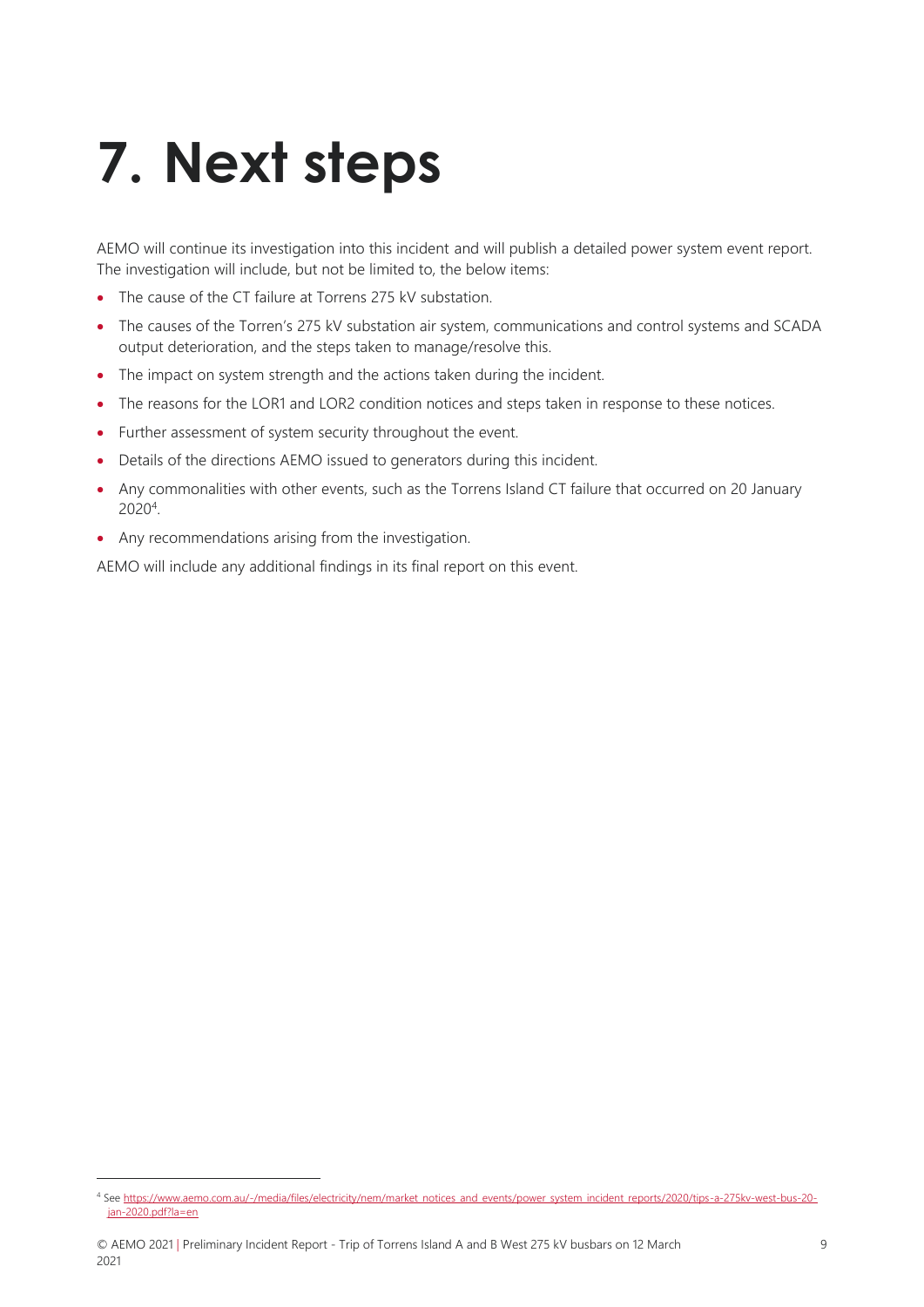# <span id="page-8-0"></span>**7. Next steps**

AEMO will continue its investigation into this incident and will publish a detailed power system event report. The investigation will include, but not be limited to, the below items:

- The cause of the CT failure at Torrens 275 kV substation.
- The causes of the Torren's 275 kV substation air system, communications and control systems and SCADA output deterioration, and the steps taken to manage/resolve this.
- The impact on system strength and the actions taken during the incident.
- The reasons for the LOR1 and LOR2 condition notices and steps taken in response to these notices.
- Further assessment of system security throughout the event.
- Details of the directions AEMO issued to generators during this incident.
- Any commonalities with other events, such as the Torrens Island CT failure that occurred on 20 January 2020<sup>4</sup> .
- Any recommendations arising from the investigation.

AEMO will include any additional findings in its final report on this event.

<sup>4</sup> Se[e https://www.aemo.com.au/-/media/files/electricity/nem/market\\_notices\\_and\\_events/power\\_system\\_incident\\_reports/2020/tips-a-275kv-west-bus-20](https://www.aemo.com.au/-/media/files/electricity/nem/market_notices_and_events/power_system_incident_reports/2020/tips-a-275kv-west-bus-20-jan-2020.pdf?la=en) [jan-2020.pdf?la=en](https://www.aemo.com.au/-/media/files/electricity/nem/market_notices_and_events/power_system_incident_reports/2020/tips-a-275kv-west-bus-20-jan-2020.pdf?la=en)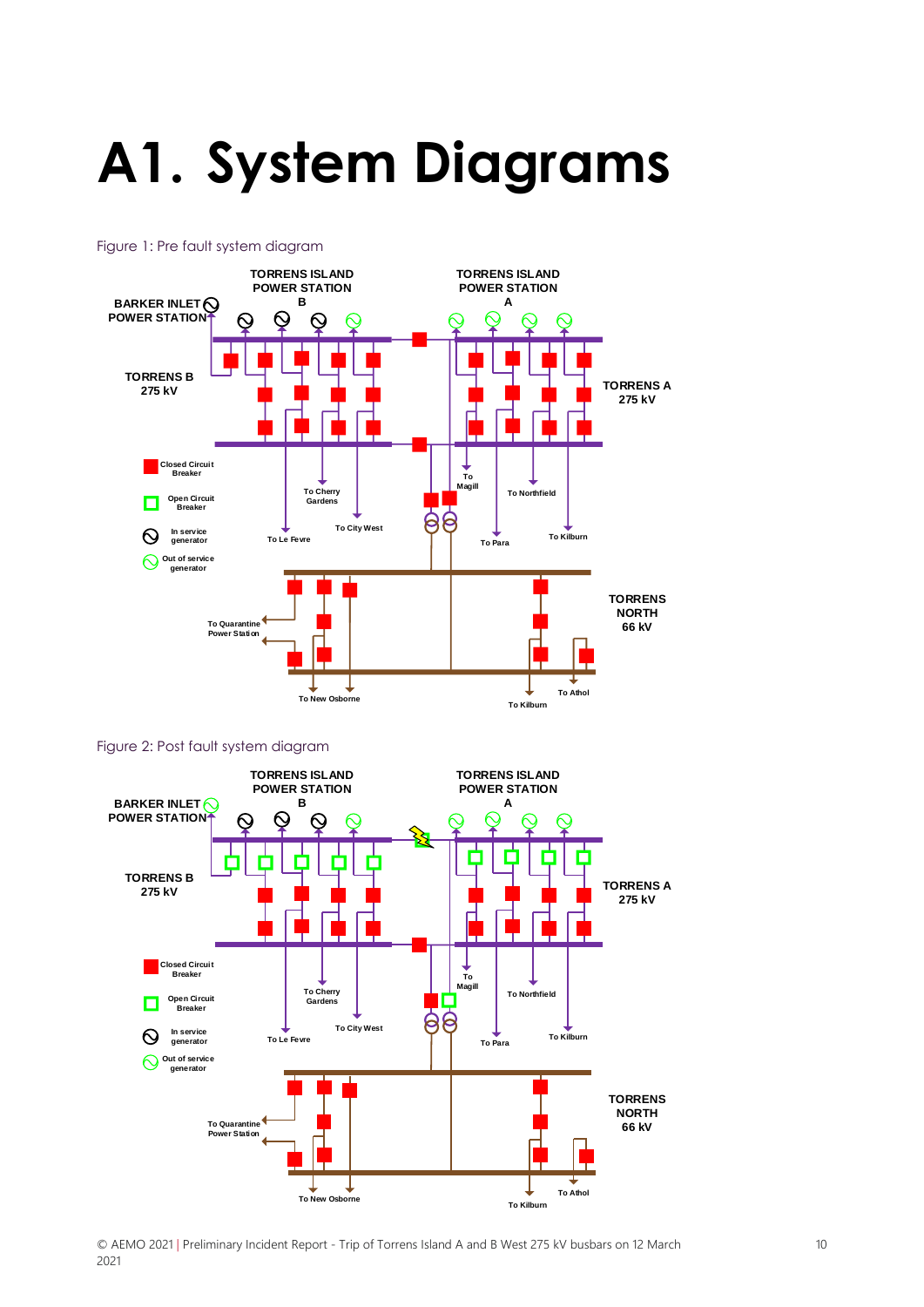# <span id="page-9-0"></span>**A1. System Diagrams**



#### Figure 1: Pre fault system diagram

#### Figure 2: Post fault system diagram